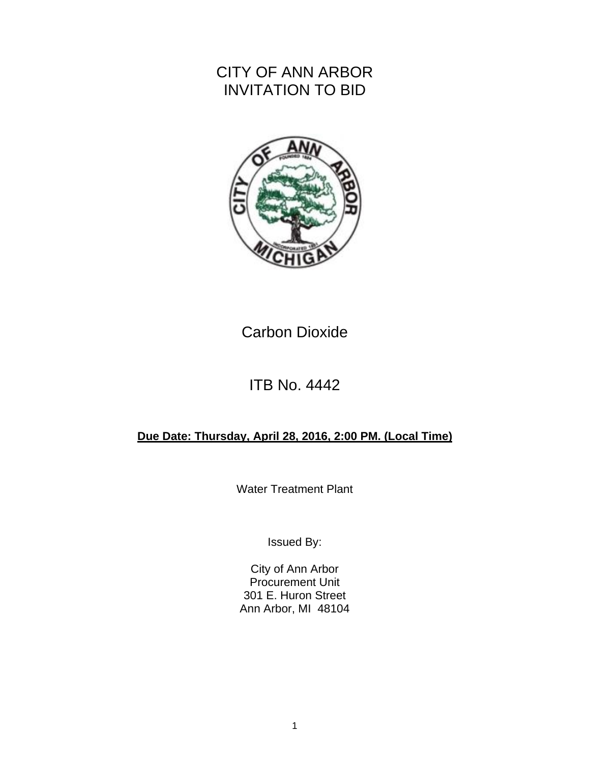# CITY OF ANN ARBOR INVITATION TO BID



# Carbon Dioxide

# ITB No. 4442

# **Due Date: Thursday, April 28, 2016, 2:00 PM. (Local Time)**

Water Treatment Plant

Issued By:

City of Ann Arbor Procurement Unit 301 E. Huron Street Ann Arbor, MI 48104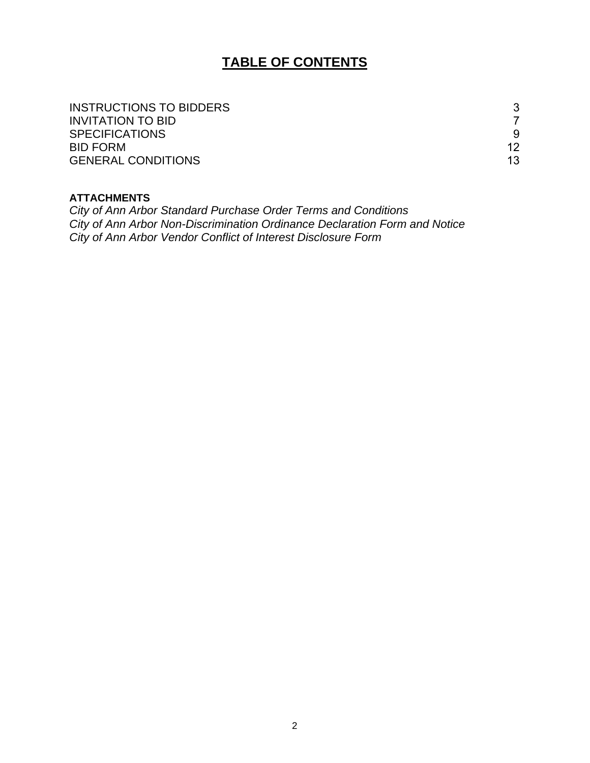# **TABLE OF CONTENTS**

| INSTRUCTIONS TO BIDDERS   | 3  |
|---------------------------|----|
| <b>INVITATION TO BID</b>  |    |
| <b>SPECIFICATIONS</b>     | 9  |
| <b>BID FORM</b>           | 12 |
| <b>GENERAL CONDITIONS</b> | 13 |

### **ATTACHMENTS**

*City of Ann Arbor Standard Purchase Order Terms and Conditions City of Ann Arbor Non-Discrimination Ordinance Declaration Form and Notice City of Ann Arbor Vendor Conflict of Interest Disclosure Form*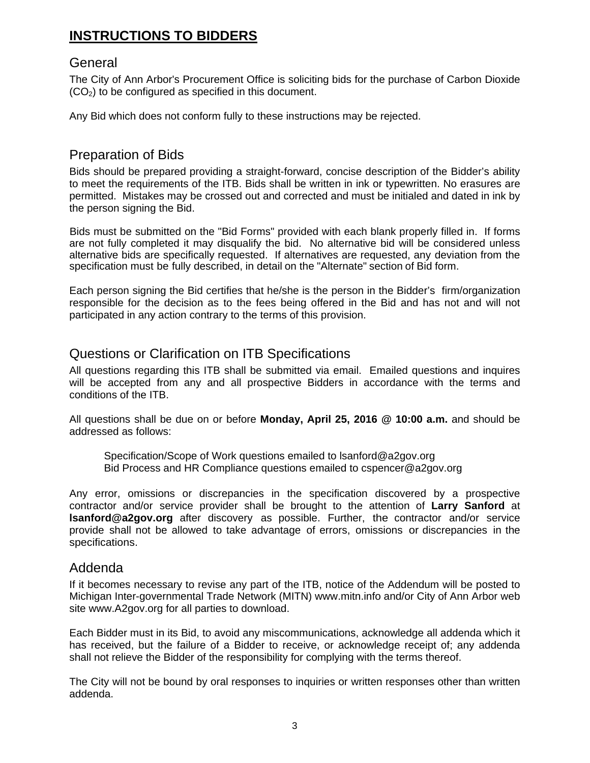# **INSTRUCTIONS TO BIDDERS**

## **General**

The City of Ann Arbor's Procurement Office is soliciting bids for the purchase of Carbon Dioxide  $(CO<sub>2</sub>)$  to be configured as specified in this document.

Any Bid which does not conform fully to these instructions may be rejected.

# Preparation of Bids

Bids should be prepared providing a straight-forward, concise description of the Bidder's ability to meet the requirements of the ITB. Bids shall be written in ink or typewritten. No erasures are permitted. Mistakes may be crossed out and corrected and must be initialed and dated in ink by the person signing the Bid.

Bids must be submitted on the "Bid Forms" provided with each blank properly filled in. If forms are not fully completed it may disqualify the bid. No alternative bid will be considered unless alternative bids are specifically requested. If alternatives are requested, any deviation from the specification must be fully described, in detail on the "Alternate" section of Bid form.

Each person signing the Bid certifies that he/she is the person in the Bidder's firm/organization responsible for the decision as to the fees being offered in the Bid and has not and will not participated in any action contrary to the terms of this provision.

# Questions or Clarification on ITB Specifications

All questions regarding this ITB shall be submitted via email. Emailed questions and inquires will be accepted from any and all prospective Bidders in accordance with the terms and conditions of the ITB.

All questions shall be due on or before **Monday, April 25, 2016 @ 10:00 a.m.** and should be addressed as follows:

Specification/Scope of Work questions emailed to lsanford@a2gov.org Bid Process and HR Compliance questions emailed to cspencer@a2gov.org

Any error, omissions or discrepancies in the specification discovered by a prospective contractor and/or service provider shall be brought to the attention of **Larry Sanford** at **lsanford@a2gov.org** after discovery as possible. Further, the contractor and/or service provide shall not be allowed to take advantage of errors, omissions or discrepancies in the specifications.

### Addenda

If it becomes necessary to revise any part of the ITB, notice of the Addendum will be posted to Michigan Inter-governmental Trade Network (MITN) www.mitn.info and/or City of Ann Arbor web site www.A2gov.org for all parties to download.

Each Bidder must in its Bid, to avoid any miscommunications, acknowledge all addenda which it has received, but the failure of a Bidder to receive, or acknowledge receipt of; any addenda shall not relieve the Bidder of the responsibility for complying with the terms thereof.

The City will not be bound by oral responses to inquiries or written responses other than written addenda.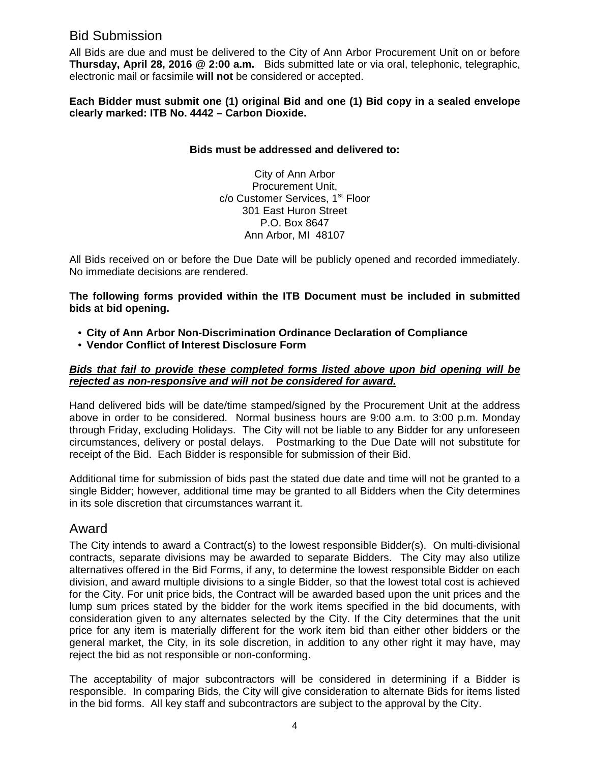# Bid Submission

All Bids are due and must be delivered to the City of Ann Arbor Procurement Unit on or before **Thursday, April 28, 2016 @ 2:00 a.m.** Bids submitted late or via oral, telephonic, telegraphic, electronic mail or facsimile **will not** be considered or accepted.

**Each Bidder must submit one (1) original Bid and one (1) Bid copy in a sealed envelope clearly marked: ITB No. 4442 – Carbon Dioxide.** 

#### **Bids must be addressed and delivered to:**

City of Ann Arbor Procurement Unit, c/o Customer Services, 1<sup>st</sup> Floor 301 East Huron Street P.O. Box 8647 Ann Arbor, MI 48107

All Bids received on or before the Due Date will be publicly opened and recorded immediately. No immediate decisions are rendered.

**The following forms provided within the ITB Document must be included in submitted bids at bid opening.** 

- **City of Ann Arbor Non-Discrimination Ordinance Declaration of Compliance**
- **Vendor Conflict of Interest Disclosure Form**

#### *Bids that fail to provide these completed forms listed above upon bid opening will be rejected as non-responsive and will not be considered for award.*

Hand delivered bids will be date/time stamped/signed by the Procurement Unit at the address above in order to be considered. Normal business hours are 9:00 a.m. to 3:00 p.m. Monday through Friday, excluding Holidays. The City will not be liable to any Bidder for any unforeseen circumstances, delivery or postal delays. Postmarking to the Due Date will not substitute for receipt of the Bid. Each Bidder is responsible for submission of their Bid.

Additional time for submission of bids past the stated due date and time will not be granted to a single Bidder; however, additional time may be granted to all Bidders when the City determines in its sole discretion that circumstances warrant it.

### Award

The City intends to award a Contract(s) to the lowest responsible Bidder(s). On multi-divisional contracts, separate divisions may be awarded to separate Bidders. The City may also utilize alternatives offered in the Bid Forms, if any, to determine the lowest responsible Bidder on each division, and award multiple divisions to a single Bidder, so that the lowest total cost is achieved for the City. For unit price bids, the Contract will be awarded based upon the unit prices and the lump sum prices stated by the bidder for the work items specified in the bid documents, with consideration given to any alternates selected by the City. If the City determines that the unit price for any item is materially different for the work item bid than either other bidders or the general market, the City, in its sole discretion, in addition to any other right it may have, may reject the bid as not responsible or non-conforming.

The acceptability of major subcontractors will be considered in determining if a Bidder is responsible. In comparing Bids, the City will give consideration to alternate Bids for items listed in the bid forms. All key staff and subcontractors are subject to the approval by the City.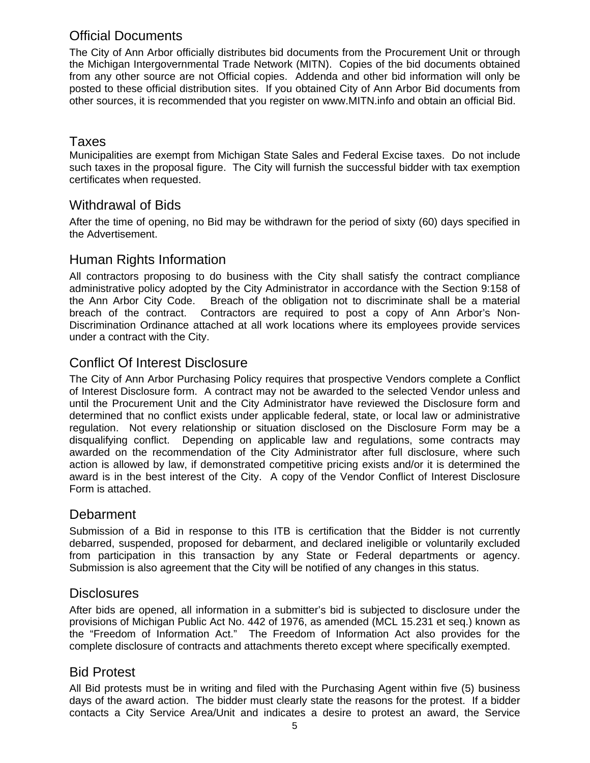# Official Documents

The City of Ann Arbor officially distributes bid documents from the Procurement Unit or through the Michigan Intergovernmental Trade Network (MITN). Copies of the bid documents obtained from any other source are not Official copies. Addenda and other bid information will only be posted to these official distribution sites. If you obtained City of Ann Arbor Bid documents from other sources, it is recommended that you register on www.MITN.info and obtain an official Bid.

# Taxes

Municipalities are exempt from Michigan State Sales and Federal Excise taxes. Do not include such taxes in the proposal figure. The City will furnish the successful bidder with tax exemption certificates when requested.

## Withdrawal of Bids

After the time of opening, no Bid may be withdrawn for the period of sixty (60) days specified in the Advertisement.

# Human Rights Information

All contractors proposing to do business with the City shall satisfy the contract compliance administrative policy adopted by the City Administrator in accordance with the Section 9:158 of the Ann Arbor City Code. Breach of the obligation not to discriminate shall be a material breach of the contract. Contractors are required to post a copy of Ann Arbor's Non-Discrimination Ordinance attached at all work locations where its employees provide services under a contract with the City.

# Conflict Of Interest Disclosure

The City of Ann Arbor Purchasing Policy requires that prospective Vendors complete a Conflict of Interest Disclosure form. A contract may not be awarded to the selected Vendor unless and until the Procurement Unit and the City Administrator have reviewed the Disclosure form and determined that no conflict exists under applicable federal, state, or local law or administrative regulation. Not every relationship or situation disclosed on the Disclosure Form may be a disqualifying conflict. Depending on applicable law and regulations, some contracts may awarded on the recommendation of the City Administrator after full disclosure, where such action is allowed by law, if demonstrated competitive pricing exists and/or it is determined the award is in the best interest of the City. A copy of the Vendor Conflict of Interest Disclosure Form is attached.

# **Debarment**

Submission of a Bid in response to this ITB is certification that the Bidder is not currently debarred, suspended, proposed for debarment, and declared ineligible or voluntarily excluded from participation in this transaction by any State or Federal departments or agency. Submission is also agreement that the City will be notified of any changes in this status.

# **Disclosures**

After bids are opened, all information in a submitter's bid is subjected to disclosure under the provisions of Michigan Public Act No. 442 of 1976, as amended (MCL 15.231 et seq.) known as the "Freedom of Information Act." The Freedom of Information Act also provides for the complete disclosure of contracts and attachments thereto except where specifically exempted.

# Bid Protest

All Bid protests must be in writing and filed with the Purchasing Agent within five (5) business days of the award action. The bidder must clearly state the reasons for the protest. If a bidder contacts a City Service Area/Unit and indicates a desire to protest an award, the Service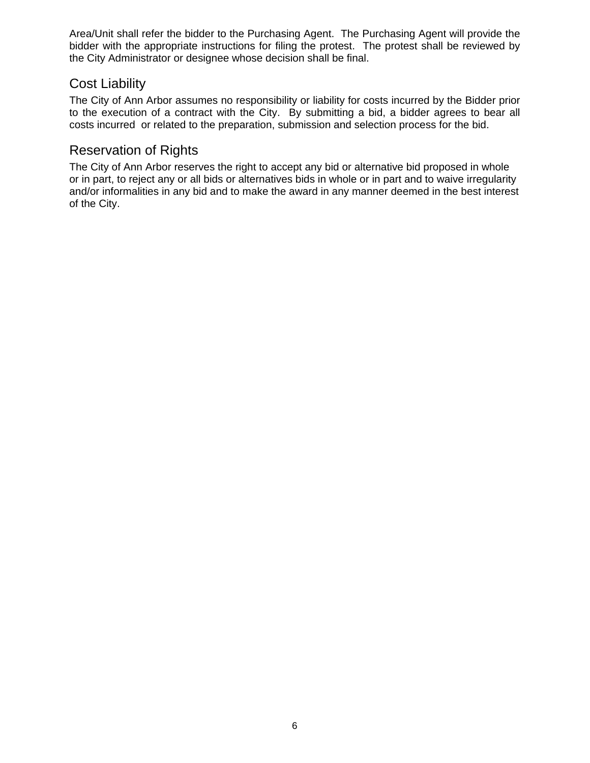Area/Unit shall refer the bidder to the Purchasing Agent. The Purchasing Agent will provide the bidder with the appropriate instructions for filing the protest. The protest shall be reviewed by the City Administrator or designee whose decision shall be final.

# Cost Liability

The City of Ann Arbor assumes no responsibility or liability for costs incurred by the Bidder prior to the execution of a contract with the City. By submitting a bid, a bidder agrees to bear all costs incurred or related to the preparation, submission and selection process for the bid.

# Reservation of Rights

The City of Ann Arbor reserves the right to accept any bid or alternative bid proposed in whole or in part, to reject any or all bids or alternatives bids in whole or in part and to waive irregularity and/or informalities in any bid and to make the award in any manner deemed in the best interest of the City.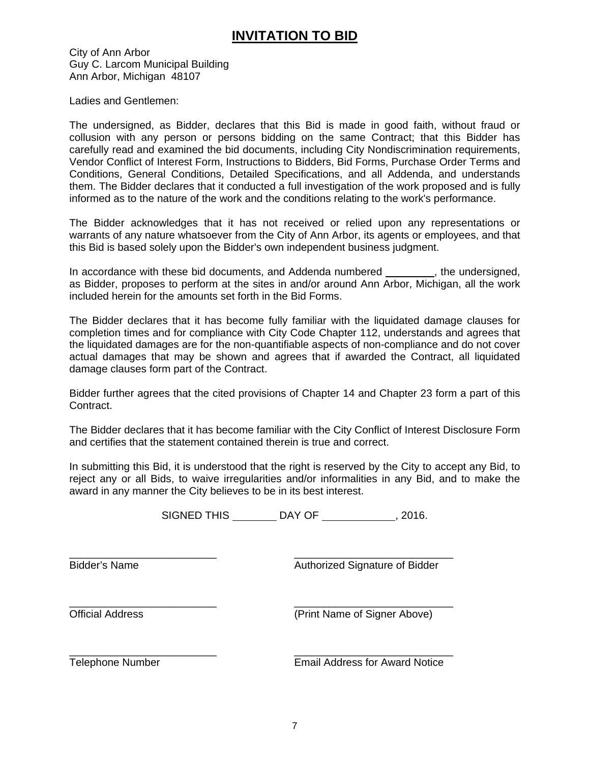# **INVITATION TO BID**

City of Ann Arbor Guy C. Larcom Municipal Building Ann Arbor, Michigan 48107

Ladies and Gentlemen:

The undersigned, as Bidder, declares that this Bid is made in good faith, without fraud or collusion with any person or persons bidding on the same Contract; that this Bidder has carefully read and examined the bid documents, including City Nondiscrimination requirements, Vendor Conflict of Interest Form, Instructions to Bidders, Bid Forms, Purchase Order Terms and Conditions, General Conditions, Detailed Specifications, and all Addenda, and understands them. The Bidder declares that it conducted a full investigation of the work proposed and is fully informed as to the nature of the work and the conditions relating to the work's performance.

The Bidder acknowledges that it has not received or relied upon any representations or warrants of any nature whatsoever from the City of Ann Arbor, its agents or employees, and that this Bid is based solely upon the Bidder's own independent business judgment.

In accordance with these bid documents, and Addenda numbered , the undersigned, as Bidder, proposes to perform at the sites in and/or around Ann Arbor, Michigan, all the work included herein for the amounts set forth in the Bid Forms.

The Bidder declares that it has become fully familiar with the liquidated damage clauses for completion times and for compliance with City Code Chapter 112, understands and agrees that the liquidated damages are for the non-quantifiable aspects of non-compliance and do not cover actual damages that may be shown and agrees that if awarded the Contract, all liquidated damage clauses form part of the Contract.

Bidder further agrees that the cited provisions of Chapter 14 and Chapter 23 form a part of this Contract.

The Bidder declares that it has become familiar with the City Conflict of Interest Disclosure Form and certifies that the statement contained therein is true and correct.

In submitting this Bid, it is understood that the right is reserved by the City to accept any Bid, to reject any or all Bids, to waive irregularities and/or informalities in any Bid, and to make the award in any manner the City believes to be in its best interest.

SIGNED THIS DAY OF , 2016.

\_\_\_\_\_\_\_\_\_\_\_\_\_\_\_\_\_\_\_\_\_\_\_\_\_ \_\_\_\_\_\_\_\_\_\_\_\_\_\_\_\_\_\_\_\_\_\_\_\_\_\_\_

\_\_\_\_\_\_\_\_\_\_\_\_\_\_\_\_\_\_\_\_\_\_\_\_\_ \_\_\_\_\_\_\_\_\_\_\_\_\_\_\_\_\_\_\_\_\_\_\_\_\_\_\_ Bidder's Name **Authorized Signature of Bidder** 

Official Address (Print Name of Signer Above)

\_\_\_\_\_\_\_\_\_\_\_\_\_\_\_\_\_\_\_\_\_\_\_\_\_ \_\_\_\_\_\_\_\_\_\_\_\_\_\_\_\_\_\_\_\_\_\_\_\_\_\_\_

Telephone Number Email Address for Award Notice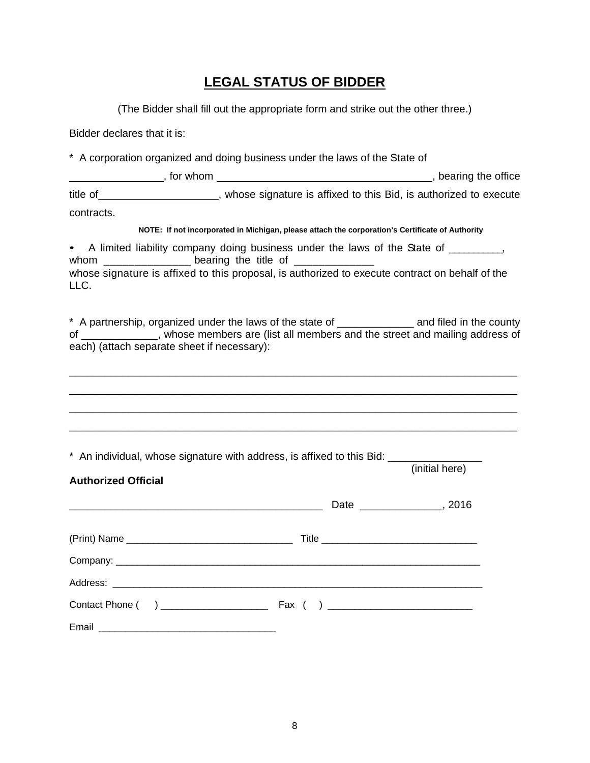# **LEGAL STATUS OF BIDDER**

(The Bidder shall fill out the appropriate form and strike out the other three.)

Bidder declares that it is:

\* A corporation organized and doing business under the laws of the State of

|            | for whom | bearing the office                                               |
|------------|----------|------------------------------------------------------------------|
| title of   |          | whose signature is affixed to this Bid, is authorized to execute |
| contracts. |          |                                                                  |

#### **NOTE: If not incorporated in Michigan, please attach the corporation's Certificate of Authority**

• A limited liability company doing business under the laws of the State of \_\_\_\_\_\_\_\_\_, whom  $\frac{1}{2}$   $\frac{1}{2}$   $\frac{1}{2}$   $\frac{1}{2}$   $\frac{1}{2}$   $\frac{1}{2}$   $\frac{1}{2}$   $\frac{1}{2}$   $\frac{1}{2}$   $\frac{1}{2}$   $\frac{1}{2}$   $\frac{1}{2}$   $\frac{1}{2}$   $\frac{1}{2}$   $\frac{1}{2}$   $\frac{1}{2}$   $\frac{1}{2}$   $\frac{1}{2}$   $\frac{1}{2}$   $\frac{1}{2}$   $\frac{1}{2}$   $\frac{1}{$ whose signature is affixed to this proposal, is authorized to execute contract on behalf of the LLC.

\* A partnership, organized under the laws of the state of \_\_\_\_\_\_\_\_\_\_\_\_\_ and filed in the county of \_\_\_\_\_\_\_\_\_\_\_\_\_, whose members are (list all members and the street and mailing address of each) (attach separate sheet if necessary):

\_\_\_\_\_\_\_\_\_\_\_\_\_\_\_\_\_\_\_\_\_\_\_\_\_\_\_\_\_\_\_\_\_\_\_\_\_\_\_\_\_\_\_\_\_\_\_\_\_\_\_\_\_\_\_\_\_\_\_\_\_\_\_\_\_\_\_\_\_\_\_\_\_\_\_\_ \_\_\_\_\_\_\_\_\_\_\_\_\_\_\_\_\_\_\_\_\_\_\_\_\_\_\_\_\_\_\_\_\_\_\_\_\_\_\_\_\_\_\_\_\_\_\_\_\_\_\_\_\_\_\_\_\_\_\_\_\_\_\_\_\_\_\_\_\_\_\_\_\_\_\_\_ \_\_\_\_\_\_\_\_\_\_\_\_\_\_\_\_\_\_\_\_\_\_\_\_\_\_\_\_\_\_\_\_\_\_\_\_\_\_\_\_\_\_\_\_\_\_\_\_\_\_\_\_\_\_\_\_\_\_\_\_\_\_\_\_\_\_\_\_\_\_\_\_\_\_\_\_ \_\_\_\_\_\_\_\_\_\_\_\_\_\_\_\_\_\_\_\_\_\_\_\_\_\_\_\_\_\_\_\_\_\_\_\_\_\_\_\_\_\_\_\_\_\_\_\_\_\_\_\_\_\_\_\_\_\_\_\_\_\_\_\_\_\_\_\_\_\_\_\_\_\_\_\_

(initial here)

\* An individual, whose signature with address, is affixed to this Bid:

| <b>Authorized Official</b> |  |
|----------------------------|--|
|                            |  |
|                            |  |
|                            |  |
|                            |  |
|                            |  |
|                            |  |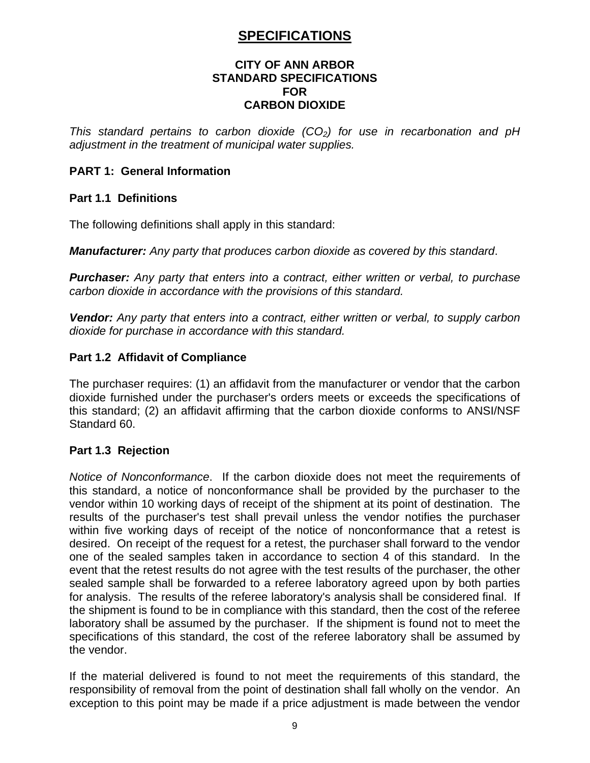# **SPECIFICATIONS**

#### **CITY OF ANN ARBOR STANDARD SPECIFICATIONS FOR CARBON DIOXIDE**

*This standard pertains to carbon dioxide (CO<sub>2</sub>) for use in recarbonation and pH adjustment in the treatment of municipal water supplies.*

### **PART 1: General Information**

#### **Part 1.1 Definitions**

The following definitions shall apply in this standard:

*Manufacturer: Any party that produces carbon dioxide as covered by this standard*.

*Purchaser: Any party that enters into a contract, either written or verbal, to purchase carbon dioxide in accordance with the provisions of this standard.*

*Vendor: Any party that enters into a contract, either written or verbal, to supply carbon dioxide for purchase in accordance with this standard.*

#### **Part 1.2 Affidavit of Compliance**

The purchaser requires: (1) an affidavit from the manufacturer or vendor that the carbon dioxide furnished under the purchaser's orders meets or exceeds the specifications of this standard; (2) an affidavit affirming that the carbon dioxide conforms to ANSI/NSF Standard 60.

### **Part 1.3 Rejection**

*Notice of Nonconformance*. If the carbon dioxide does not meet the requirements of this standard, a notice of nonconformance shall be provided by the purchaser to the vendor within 10 working days of receipt of the shipment at its point of destination. The results of the purchaser's test shall prevail unless the vendor notifies the purchaser within five working days of receipt of the notice of nonconformance that a retest is desired. On receipt of the request for a retest, the purchaser shall forward to the vendor one of the sealed samples taken in accordance to section 4 of this standard. In the event that the retest results do not agree with the test results of the purchaser, the other sealed sample shall be forwarded to a referee laboratory agreed upon by both parties for analysis. The results of the referee laboratory's analysis shall be considered final. If the shipment is found to be in compliance with this standard, then the cost of the referee laboratory shall be assumed by the purchaser. If the shipment is found not to meet the specifications of this standard, the cost of the referee laboratory shall be assumed by the vendor.

If the material delivered is found to not meet the requirements of this standard, the responsibility of removal from the point of destination shall fall wholly on the vendor. An exception to this point may be made if a price adjustment is made between the vendor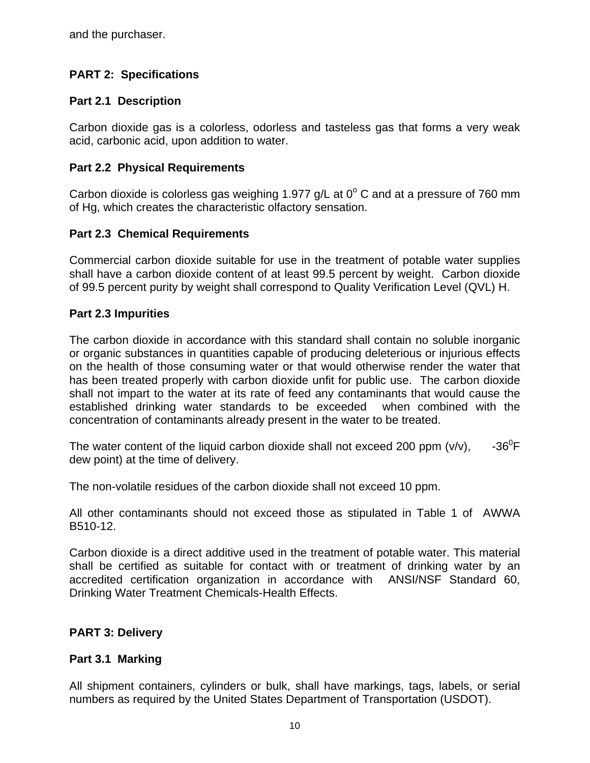and the purchaser.

## **PART 2: Specifications**

### **Part 2.1 Description**

Carbon dioxide gas is a colorless, odorless and tasteless gas that forms a very weak acid, carbonic acid, upon addition to water.

### **Part 2.2 Physical Requirements**

Carbon dioxide is colorless gas weighing 1.977  $g/L$  at  $0^{\circ}$  C and at a pressure of 760 mm of Hg, which creates the characteristic olfactory sensation.

### **Part 2.3 Chemical Requirements**

Commercial carbon dioxide suitable for use in the treatment of potable water supplies shall have a carbon dioxide content of at least 99.5 percent by weight. Carbon dioxide of 99.5 percent purity by weight shall correspond to Quality Verification Level (QVL) H.

### **Part 2.3 Impurities**

The carbon dioxide in accordance with this standard shall contain no soluble inorganic or organic substances in quantities capable of producing deleterious or injurious effects on the health of those consuming water or that would otherwise render the water that has been treated properly with carbon dioxide unfit for public use. The carbon dioxide shall not impart to the water at its rate of feed any contaminants that would cause the established drinking water standards to be exceeded when combined with the concentration of contaminants already present in the water to be treated.

The water content of the liquid carbon dioxide shall not exceed 200 ppm  $(v/v)$ ,  $-36^0$ F dew point) at the time of delivery.

The non-volatile residues of the carbon dioxide shall not exceed 10 ppm.

All other contaminants should not exceed those as stipulated in Table 1 of AWWA B510-12.

Carbon dioxide is a direct additive used in the treatment of potable water. This material shall be certified as suitable for contact with or treatment of drinking water by an accredited certification organization in accordance with ANSI/NSF Standard 60, Drinking Water Treatment Chemicals-Health Effects.

### **PART 3: Delivery**

### **Part 3.1 Marking**

All shipment containers, cylinders or bulk, shall have markings, tags, labels, or serial numbers as required by the United States Department of Transportation (USDOT).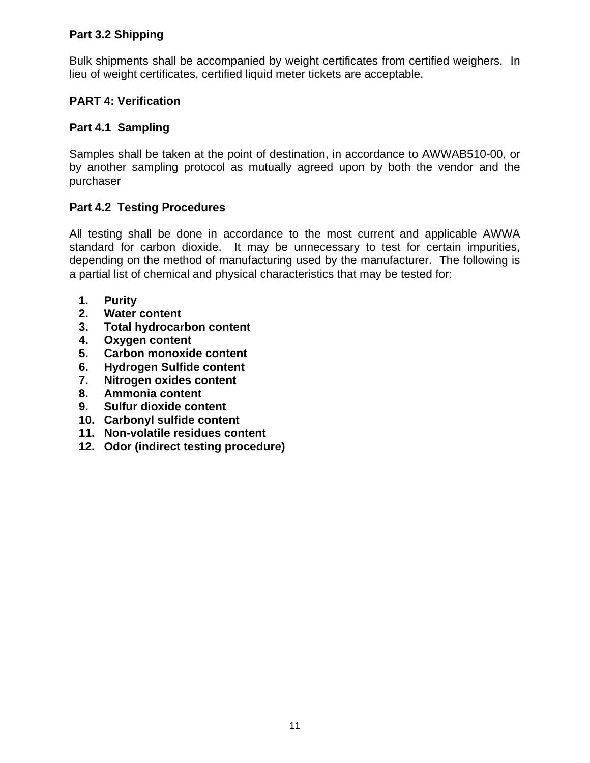## **Part 3.2 Shipping**

Bulk shipments shall be accompanied by weight certificates from certified weighers. In lieu of weight certificates, certified liquid meter tickets are acceptable.

### **PART 4: Verification**

### **Part 4.1 Sampling**

Samples shall be taken at the point of destination, in accordance to AWWAB510-00, or by another sampling protocol as mutually agreed upon by both the vendor and the purchaser

### **Part 4.2 Testing Procedures**

All testing shall be done in accordance to the most current and applicable AWWA standard for carbon dioxide. It may be unnecessary to test for certain impurities, depending on the method of manufacturing used by the manufacturer. The following is a partial list of chemical and physical characteristics that may be tested for:

- **1. Purity**
- **2. Water content**
- **3. Total hydrocarbon content**
- **4. Oxygen content**
- **5. Carbon monoxide content**
- **6. Hydrogen Sulfide content**
- **7. Nitrogen oxides content**
- **8. Ammonia content**
- **9. Sulfur dioxide content**
- **10. Carbonyl sulfide content**
- **11. Non-volatile residues content**
- **12. Odor (indirect testing procedure)**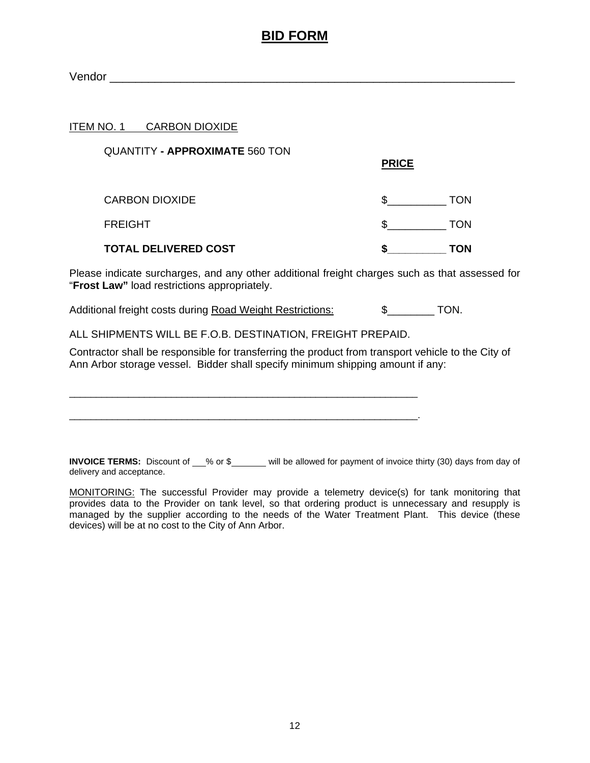# **BID FORM**

Vendor et al. 2008. In the set of the set of the set of the set of the set of the set of the set of the set of the set of the set of the set of the set of the set of the set of the set of the set of the set of the set of t

#### ITEM NO. 1 CARBON DIOXIDE

| <b>QUANTITY - APPROXIMATE 560 TON</b> | <b>PRICE</b> |     |
|---------------------------------------|--------------|-----|
| <b>CARBON DIOXIDE</b>                 |              | TON |
| <b>FREIGHT</b>                        |              | TON |
| <b>TOTAL DELIVERED COST</b>           |              | TON |

Please indicate surcharges, and any other additional freight charges such as that assessed for "**Frost Law"** load restrictions appropriately.

Additional freight costs during Road Weight Restrictions: \$\_\_\_\_\_\_\_ TON.

ALL SHIPMENTS WILL BE F.O.B. DESTINATION, FREIGHT PREPAID.

\_\_\_\_\_\_\_\_\_\_\_\_\_\_\_\_\_\_\_\_\_\_\_\_\_\_\_\_\_\_\_\_\_\_\_\_\_\_\_\_\_\_\_\_\_\_\_\_\_\_\_\_\_\_\_\_\_\_\_\_\_\_\_\_\_

\_\_\_\_\_\_\_\_\_\_\_\_\_\_\_\_\_\_\_\_\_\_\_\_\_\_\_\_\_\_\_\_\_\_\_\_\_\_\_\_\_\_\_\_\_\_\_\_\_\_\_\_\_\_\_\_\_\_\_\_\_\_\_\_\_.

Contractor shall be responsible for transferring the product from transport vehicle to the City of Ann Arbor storage vessel. Bidder shall specify minimum shipping amount if any:

**INVOICE TERMS:** Discount of W<sub>8</sub> or \$ Will be allowed for payment of invoice thirty (30) days from day of delivery and acceptance.

MONITORING: The successful Provider may provide a telemetry device(s) for tank monitoring that provides data to the Provider on tank level, so that ordering product is unnecessary and resupply is managed by the supplier according to the needs of the Water Treatment Plant. This device (these devices) will be at no cost to the City of Ann Arbor.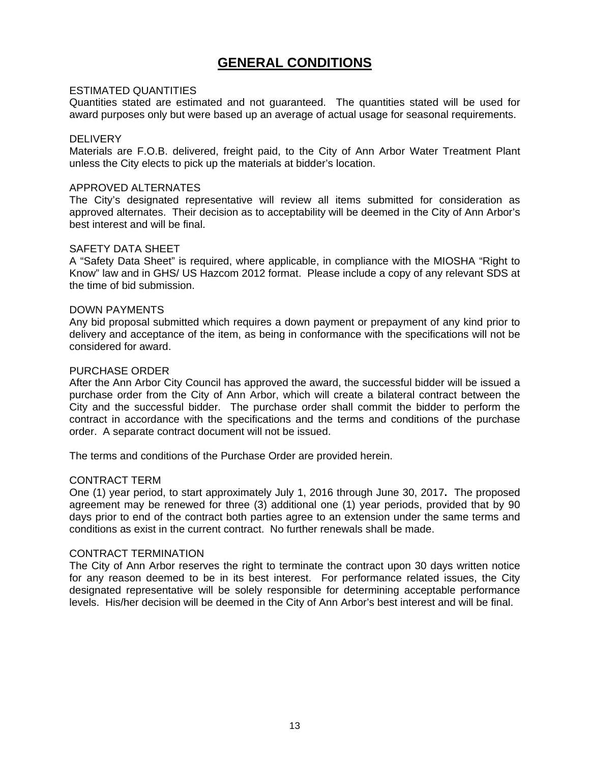# **GENERAL CONDITIONS**

#### ESTIMATED QUANTITIES

Quantities stated are estimated and not guaranteed. The quantities stated will be used for award purposes only but were based up an average of actual usage for seasonal requirements.

#### **DELIVERY**

Materials are F.O.B. delivered, freight paid, to the City of Ann Arbor Water Treatment Plant unless the City elects to pick up the materials at bidder's location.

#### APPROVED ALTERNATES

The City's designated representative will review all items submitted for consideration as approved alternates. Their decision as to acceptability will be deemed in the City of Ann Arbor's best interest and will be final.

#### SAFETY DATA SHEET

A "Safety Data Sheet" is required, where applicable, in compliance with the MIOSHA "Right to Know" law and in GHS/ US Hazcom 2012 format. Please include a copy of any relevant SDS at the time of bid submission.

#### DOWN PAYMENTS

Any bid proposal submitted which requires a down payment or prepayment of any kind prior to delivery and acceptance of the item, as being in conformance with the specifications will not be considered for award.

#### PURCHASE ORDER

After the Ann Arbor City Council has approved the award, the successful bidder will be issued a purchase order from the City of Ann Arbor, which will create a bilateral contract between the City and the successful bidder. The purchase order shall commit the bidder to perform the contract in accordance with the specifications and the terms and conditions of the purchase order. A separate contract document will not be issued.

The terms and conditions of the Purchase Order are provided herein.

#### CONTRACT TERM

One (1) year period, to start approximately July 1, 2016 through June 30, 2017**.** The proposed agreement may be renewed for three (3) additional one (1) year periods, provided that by 90 days prior to end of the contract both parties agree to an extension under the same terms and conditions as exist in the current contract. No further renewals shall be made.

#### CONTRACT TERMINATION

The City of Ann Arbor reserves the right to terminate the contract upon 30 days written notice for any reason deemed to be in its best interest. For performance related issues, the City designated representative will be solely responsible for determining acceptable performance levels. His/her decision will be deemed in the City of Ann Arbor's best interest and will be final.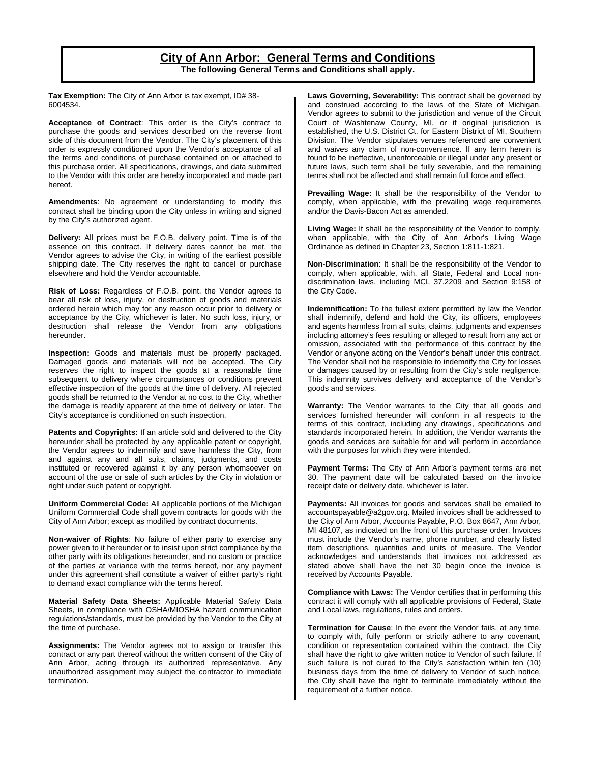#### **City of Ann Arbor: General Terms and Conditions The following General Terms and Conditions shall apply.**

**Tax Exemption:** The City of Ann Arbor is tax exempt, ID# 38- 6004534.

**Acceptance of Contract**: This order is the City's contract to purchase the goods and services described on the reverse front side of this document from the Vendor. The City's placement of this order is expressly conditioned upon the Vendor's acceptance of all the terms and conditions of purchase contained on or attached to this purchase order. All specifications, drawings, and data submitted to the Vendor with this order are hereby incorporated and made part hereof.

**Amendments**: No agreement or understanding to modify this contract shall be binding upon the City unless in writing and signed by the City's authorized agent.

**Delivery:** All prices must be F.O.B. delivery point. Time is of the essence on this contract. If delivery dates cannot be met, the Vendor agrees to advise the City, in writing of the earliest possible shipping date. The City reserves the right to cancel or purchase elsewhere and hold the Vendor accountable.

**Risk of Loss:** Regardless of F.O.B. point, the Vendor agrees to bear all risk of loss, injury, or destruction of goods and materials ordered herein which may for any reason occur prior to delivery or acceptance by the City, whichever is later. No such loss, injury, or destruction shall release the Vendor from any obligations hereunder.

**Inspection:** Goods and materials must be properly packaged. Damaged goods and materials will not be accepted. The City reserves the right to inspect the goods at a reasonable time subsequent to delivery where circumstances or conditions prevent effective inspection of the goods at the time of delivery. All rejected goods shall be returned to the Vendor at no cost to the City, whether the damage is readily apparent at the time of delivery or later. The City's acceptance is conditioned on such inspection.

**Patents and Copyrights:** If an article sold and delivered to the City hereunder shall be protected by any applicable patent or copyright, the Vendor agrees to indemnify and save harmless the City, from and against any and all suits, claims, judgments, and costs instituted or recovered against it by any person whomsoever on account of the use or sale of such articles by the City in violation or right under such patent or copyright.

**Uniform Commercial Code:** All applicable portions of the Michigan Uniform Commercial Code shall govern contracts for goods with the City of Ann Arbor; except as modified by contract documents.

**Non-waiver of Rights**: No failure of either party to exercise any power given to it hereunder or to insist upon strict compliance by the other party with its obligations hereunder, and no custom or practice of the parties at variance with the terms hereof, nor any payment under this agreement shall constitute a waiver of either party's right to demand exact compliance with the terms hereof.

**Material Safety Data Sheets:** Applicable Material Safety Data Sheets, in compliance with OSHA/MIOSHA hazard communication regulations/standards, must be provided by the Vendor to the City at the time of purchase.

**Assignments:** The Vendor agrees not to assign or transfer this contract or any part thereof without the written consent of the City of Ann Arbor, acting through its authorized representative. Any unauthorized assignment may subject the contractor to immediate termination.

**Laws Governing, Severability:** This contract shall be governed by and construed according to the laws of the State of Michigan. Vendor agrees to submit to the jurisdiction and venue of the Circuit Court of Washtenaw County, MI, or if original jurisdiction is established, the U.S. District Ct. for Eastern District of MI, Southern Division. The Vendor stipulates venues referenced are convenient and waives any claim of non-convenience. If any term herein is found to be ineffective, unenforceable or illegal under any present or future laws, such term shall be fully severable, and the remaining terms shall not be affected and shall remain full force and effect.

**Prevailing Wage:** It shall be the responsibility of the Vendor to comply, when applicable, with the prevailing wage requirements and/or the Davis-Bacon Act as amended.

**Living Wage:** It shall be the responsibility of the Vendor to comply, when applicable, with the City of Ann Arbor's Living Wage Ordinance as defined in Chapter 23, Section 1:811-1:821.

**Non-Discrimination**: It shall be the responsibility of the Vendor to comply, when applicable, with, all State, Federal and Local nondiscrimination laws, including MCL 37.2209 and Section 9:158 of the City Code.

**Indemnification:** To the fullest extent permitted by law the Vendor shall indemnify, defend and hold the City, its officers, employees and agents harmless from all suits, claims, judgments and expenses including attorney's fees resulting or alleged to result from any act or omission, associated with the performance of this contract by the Vendor or anyone acting on the Vendor's behalf under this contract. The Vendor shall not be responsible to indemnify the City for losses or damages caused by or resulting from the City's sole negligence. This indemnity survives delivery and acceptance of the Vendor's goods and services.

**Warranty:** The Vendor warrants to the City that all goods and services furnished hereunder will conform in all respects to the terms of this contract, including any drawings, specifications and standards incorporated herein. In addition, the Vendor warrants the goods and services are suitable for and will perform in accordance with the purposes for which they were intended.

**Payment Terms:** The City of Ann Arbor's payment terms are net 30. The payment date will be calculated based on the invoice receipt date or delivery date, whichever is later.

**Payments:** All invoices for goods and services shall be emailed to accountspayable@a2gov.org. Mailed invoices shall be addressed to the City of Ann Arbor, Accounts Payable, P.O. Box 8647, Ann Arbor, MI 48107, as indicated on the front of this purchase order. Invoices must include the Vendor's name, phone number, and clearly listed item descriptions, quantities and units of measure. The Vendor acknowledges and understands that invoices not addressed as stated above shall have the net 30 begin once the invoice is received by Accounts Payable.

**Compliance with Laws:** The Vendor certifies that in performing this contract it will comply with all applicable provisions of Federal, State and Local laws, regulations, rules and orders.

**Termination for Cause**: In the event the Vendor fails, at any time, to comply with, fully perform or strictly adhere to any covenant, condition or representation contained within the contract, the City shall have the right to give written notice to Vendor of such failure. If such failure is not cured to the City's satisfaction within ten (10) business days from the time of delivery to Vendor of such notice, the City shall have the right to terminate immediately without the requirement of a further notice.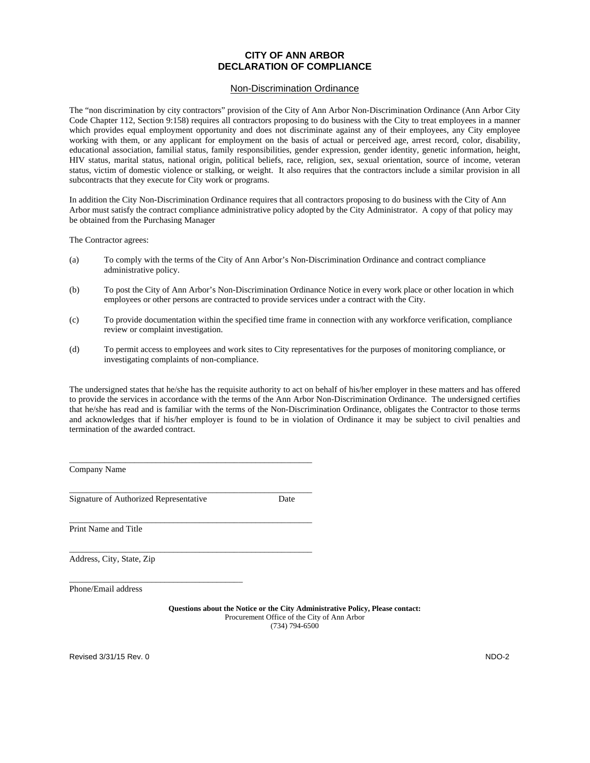#### **CITY OF ANN ARBOR DECLARATION OF COMPLIANCE**

#### Non-Discrimination Ordinance

The "non discrimination by city contractors" provision of the City of Ann Arbor Non-Discrimination Ordinance (Ann Arbor City Code Chapter 112, Section 9:158) requires all contractors proposing to do business with the City to treat employees in a manner which provides equal employment opportunity and does not discriminate against any of their employees, any City employee working with them, or any applicant for employment on the basis of actual or perceived age, arrest record, color, disability, educational association, familial status, family responsibilities, gender expression, gender identity, genetic information, height, HIV status, marital status, national origin, political beliefs, race, religion, sex, sexual orientation, source of income, veteran status, victim of domestic violence or stalking, or weight. It also requires that the contractors include a similar provision in all subcontracts that they execute for City work or programs.

In addition the City Non-Discrimination Ordinance requires that all contractors proposing to do business with the City of Ann Arbor must satisfy the contract compliance administrative policy adopted by the City Administrator. A copy of that policy may be obtained from the Purchasing Manager

The Contractor agrees:

- (a) To comply with the terms of the City of Ann Arbor's Non-Discrimination Ordinance and contract compliance administrative policy.
- (b) To post the City of Ann Arbor's Non-Discrimination Ordinance Notice in every work place or other location in which employees or other persons are contracted to provide services under a contract with the City.
- (c) To provide documentation within the specified time frame in connection with any workforce verification, compliance review or complaint investigation.
- (d) To permit access to employees and work sites to City representatives for the purposes of monitoring compliance, or investigating complaints of non-compliance.

The undersigned states that he/she has the requisite authority to act on behalf of his/her employer in these matters and has offered to provide the services in accordance with the terms of the Ann Arbor Non-Discrimination Ordinance. The undersigned certifies that he/she has read and is familiar with the terms of the Non-Discrimination Ordinance, obligates the Contractor to those terms and acknowledges that if his/her employer is found to be in violation of Ordinance it may be subject to civil penalties and termination of the awarded contract.

Company Name

Signature of Authorized Representative Date

\_\_\_\_\_\_\_\_\_\_\_\_\_\_\_\_\_\_\_\_\_\_\_\_\_\_\_\_\_\_\_\_\_\_\_\_\_\_\_\_

\_\_\_\_\_\_\_\_\_\_\_\_\_\_\_\_\_\_\_\_\_\_\_\_\_\_\_\_\_\_\_\_\_\_\_\_\_\_\_\_\_\_\_\_\_\_\_\_\_\_\_\_\_\_\_\_

\_\_\_\_\_\_\_\_\_\_\_\_\_\_\_\_\_\_\_\_\_\_\_\_\_\_\_\_\_\_\_\_\_\_\_\_\_\_\_\_\_\_\_\_\_\_\_\_\_\_\_\_\_\_\_\_

\_\_\_\_\_\_\_\_\_\_\_\_\_\_\_\_\_\_\_\_\_\_\_\_\_\_\_\_\_\_\_\_\_\_\_\_\_\_\_\_\_\_\_\_\_\_\_\_\_\_\_\_\_\_\_\_

\_\_\_\_\_\_\_\_\_\_\_\_\_\_\_\_\_\_\_\_\_\_\_\_\_\_\_\_\_\_\_\_\_\_\_\_\_\_\_\_\_\_\_\_\_\_\_\_\_\_\_\_\_\_\_\_

Print Name and Title

Address, City, State, Zip

Phone/Email address

**Questions about the Notice or the City Administrative Policy, Please contact:**  Procurement Office of the City of Ann Arbor (734) 794-6500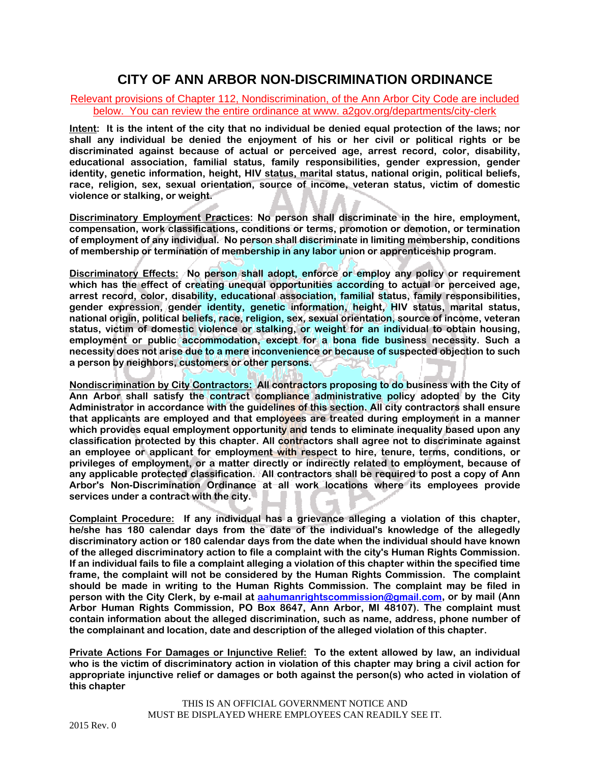# **CITY OF ANN ARBOR NON-DISCRIMINATION ORDINANCE**

#### Relevant provisions of Chapter 112, Nondiscrimination, of the Ann Arbor City Code are included below. You can review the entire ordinance at www. a2gov.org/departments/city-clerk

**Intent: It is the intent of the city that no individual be denied equal protection of the laws; nor shall any individual be denied the enjoyment of his or her civil or political rights or be discriminated against because of actual or perceived age, arrest record, color, disability, educational association, familial status, family responsibilities, gender expression, gender identity, genetic information, height, HIV status, marital status, national origin, political beliefs, race, religion, sex, sexual orientation, source of income, veteran status, victim of domestic violence or stalking, or weight.** 

**Discriminatory Employment Practices: No person shall discriminate in the hire, employment, compensation, work classifications, conditions or terms, promotion or demotion, or termination of employment of any individual. No person shall discriminate in limiting membership, conditions of membership or termination of membership in any labor union or apprenticeship program.** 

**Discriminatory Effects: No person shall adopt, enforce or employ any policy or requirement which has the effect of creating unequal opportunities according to actual or perceived age, arrest record, color, disability, educational association, familial status, family responsibilities, gender expression, gender identity, genetic information, height, HIV status, marital status, national origin, political beliefs, race, religion, sex, sexual orientation, source of income, veteran status, victim of domestic violence or stalking, or weight for an individual to obtain housing, employment or public accommodation, except for a bona fide business necessity. Such a necessity does not arise due to a mere inconvenience or because of suspected objection to such a person by neighbors, customers or other persons.** 

**Nondiscrimination by City Contractors: All contractors proposing to do business with the City of Ann Arbor shall satisfy the contract compliance administrative policy adopted by the City Administrator in accordance with the guidelines of this section. All city contractors shall ensure that applicants are employed and that employees are treated during employment in a manner which provides equal employment opportunity and tends to eliminate inequality based upon any classification protected by this chapter. All contractors shall agree not to discriminate against an employee or applicant for employment with respect to hire, tenure, terms, conditions, or privileges of employment, or a matter directly or indirectly related to employment, because of any applicable protected classification. All contractors shall be required to post a copy of Ann Arbor's Non-Discrimination Ordinance at all work locations where its employees provide services under a contract with the city.** 

**Complaint Procedure: If any individual has a grievance alleging a violation of this chapter, he/she has 180 calendar days from the date of the individual's knowledge of the allegedly discriminatory action or 180 calendar days from the date when the individual should have known of the alleged discriminatory action to file a complaint with the city's Human Rights Commission. If an individual fails to file a complaint alleging a violation of this chapter within the specified time frame, the complaint will not be considered by the Human Rights Commission. The complaint should be made in writing to the Human Rights Commission. The complaint may be filed in person with the City Clerk, by e-mail at aahumanrightscommission@gmail.com, or by mail (Ann Arbor Human Rights Commission, PO Box 8647, Ann Arbor, MI 48107). The complaint must contain information about the alleged discrimination, such as name, address, phone number of the complainant and location, date and description of the alleged violation of this chapter.** 

**Private Actions For Damages or Injunctive Relief: To the extent allowed by law, an individual who is the victim of discriminatory action in violation of this chapter may bring a civil action for appropriate injunctive relief or damages or both against the person(s) who acted in violation of this chapter**